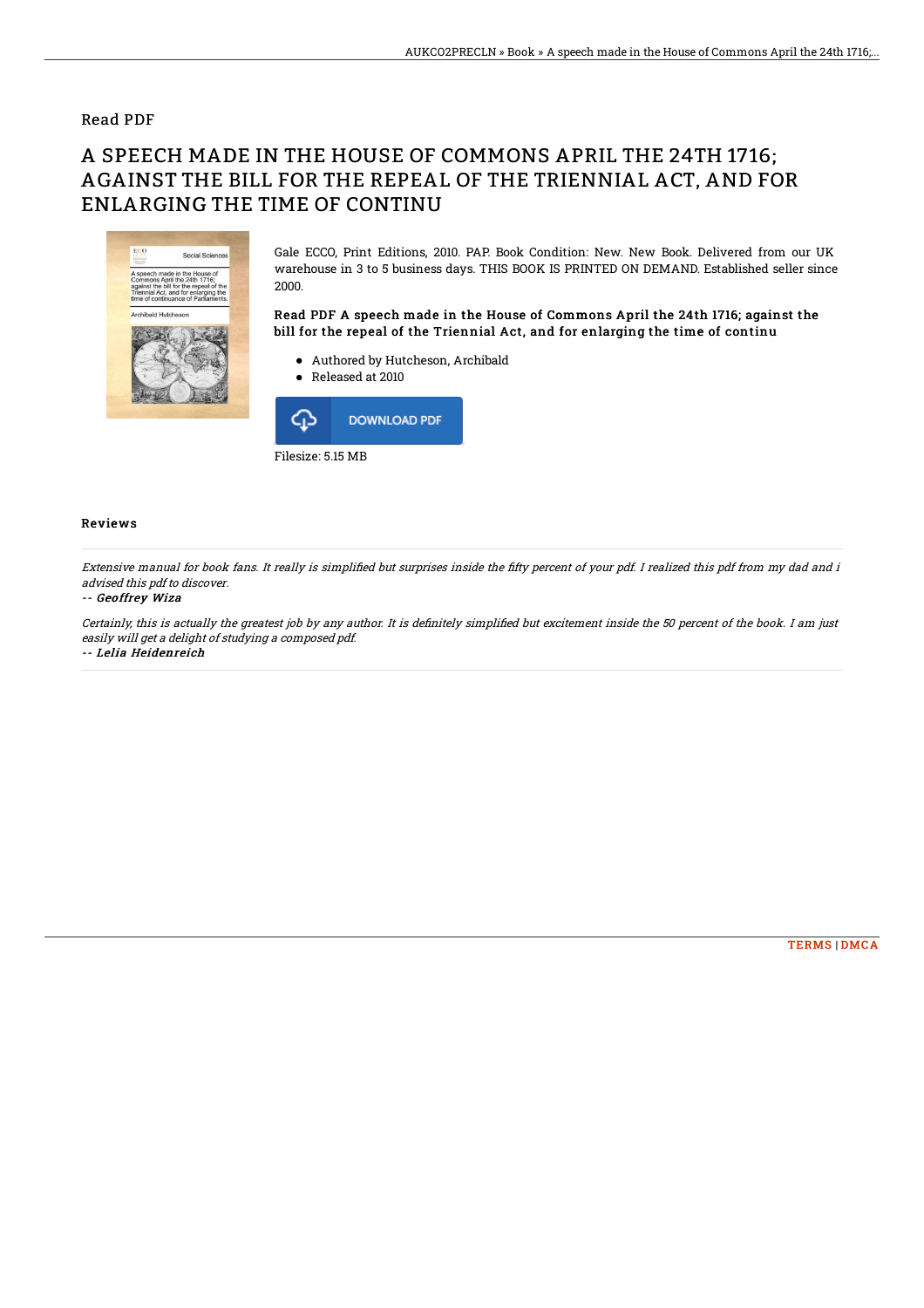### Read PDF

# A SPEECH MADE IN THE HOUSE OF COMMONS APRIL THE 24TH 1716; AGAINST THE BILL FOR THE REPEAL OF THE TRIENNIAL ACT, AND FOR ENLARGING THE TIME OF CONTINU



Gale ECCO, Print Editions, 2010. PAP. Book Condition: New. New Book. Delivered from our UK warehouse in 3 to 5 business days. THIS BOOK IS PRINTED ON DEMAND. Established seller since 2000.

Read PDF A speech made in the House of Commons April the 24th 1716; against the bill for the repeal of the Triennial Act, and for enlarging the time of continu

- Authored by Hutcheson, Archibald
- Released at 2010



#### Reviews

Extensive manual for book fans. It really is simplified but surprises inside the fifty percent of your pdf. I realized this pdf from my dad and i advised this pdf to discover.

#### -- Geoffrey Wiza

Certainly, this is actually the greatest job by any author. It is definitely simplified but excitement inside the 50 percent of the book. I am just easily will get <sup>a</sup> delight of studying <sup>a</sup> composed pdf.

-- Lelia Heidenreich